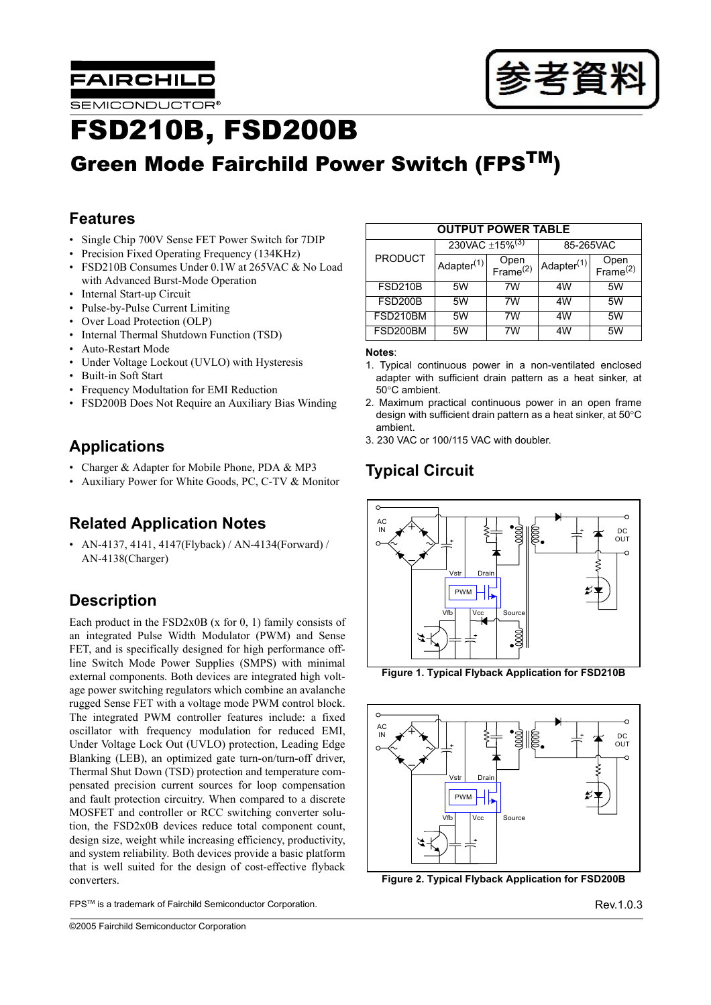



# FSD210B, FSD200B

# Green Mode Fairchild Power Switch (FPS<sup>TM</sup>)

# **Features**

- Single Chip 700V Sense FET Power Switch for 7DIP
- Precision Fixed Operating Frequency (134KHz)
- FSD210B Consumes Under 0.1W at 265VAC & No Load with Advanced Burst-Mode Operation
- Internal Start-up Circuit
- Pulse-by-Pulse Current Limiting
- Over Load Protection (OLP)
- Internal Thermal Shutdown Function (TSD)
- Auto-Restart Mode
- Under Voltage Lockout (UVLO) with Hysteresis
- Built-in Soft Start
- Frequency Modultation for EMI Reduction
- FSD200B Does Not Require an Auxiliary Bias Winding

# **Applications**

- Charger & Adapter for Mobile Phone, PDA & MP3
- Auxiliary Power for White Goods, PC, C-TV & Monitor

## **Related Application Notes**

• AN-4137, 4141, 4147(Flyback) / AN-4134(Forward) / AN-4138(Charger)

# **Description**

Each product in the  $FSD2x0B$  (x for 0, 1) family consists of an integrated Pulse Width Modulator (PWM) and Sense FET, and is specifically designed for high performance offline Switch Mode Power Supplies (SMPS) with minimal external components. Both devices are integrated high voltage power switching regulators which combine an avalanche rugged Sense FET with a voltage mode PWM control block. The integrated PWM controller features include: a fixed oscillator with frequency modulation for reduced EMI, Under Voltage Lock Out (UVLO) protection, Leading Edge Blanking (LEB), an optimized gate turn-on/turn-off driver, Thermal Shut Down (TSD) protection and temperature compensated precision current sources for loop compensation and fault protection circuitry. When compared to a discrete MOSFET and controller or RCC switching converter solution, the FSD2x0B devices reduce total component count, design size, weight while increasing efficiency, productivity, and system reliability. Both devices provide a basic platform that is well suited for the design of cost-effective flyback converters.

| <b>OUTPUT POWER TABLE</b> |                                 |                              |                        |                              |  |  |
|---------------------------|---------------------------------|------------------------------|------------------------|------------------------------|--|--|
|                           | 230VAC $\pm$ 15% <sup>(3)</sup> |                              | 85-265VAC              |                              |  |  |
| <b>PRODUCT</b>            | Adapter <sup>(1)</sup>          | Open<br>Frame <sup>(2)</sup> | Adapter <sup>(1)</sup> | Open<br>Frame <sup>(2)</sup> |  |  |
| <b>FSD210B</b>            | 5W                              | 7W                           | 4W                     | 5W                           |  |  |
| <b>FSD200B</b>            | 5W                              | 7W                           | 4W                     | 5W                           |  |  |
| FSD210BM                  | 5W                              | 7W                           | 4W                     | 5W                           |  |  |
| FSD200BM                  | 5W                              | 7W                           | 4W                     | 5W                           |  |  |

#### **Notes**:

- 1. Typical continuous power in a non-ventilated enclosed adapter with sufficient drain pattern as a heat sinker, at 50°C ambient.
- 2. Maximum practical continuous power in an open frame design with sufficient drain pattern as a heat sinker, at 50°C ambient.
- 3. 230 VAC or 100/115 VAC with doubler.

# **Typical Circuit**



**Figure 1. Typical Flyback Application for FSD210B**



**Figure 2. Typical Flyback Application for FSD200B**

FPS<sup>TM</sup> is a trademark of Fairchild Semiconductor Corporation.<br>
FPS<sup>TM</sup> is a trademark of Fairchild Semiconductor Corporation.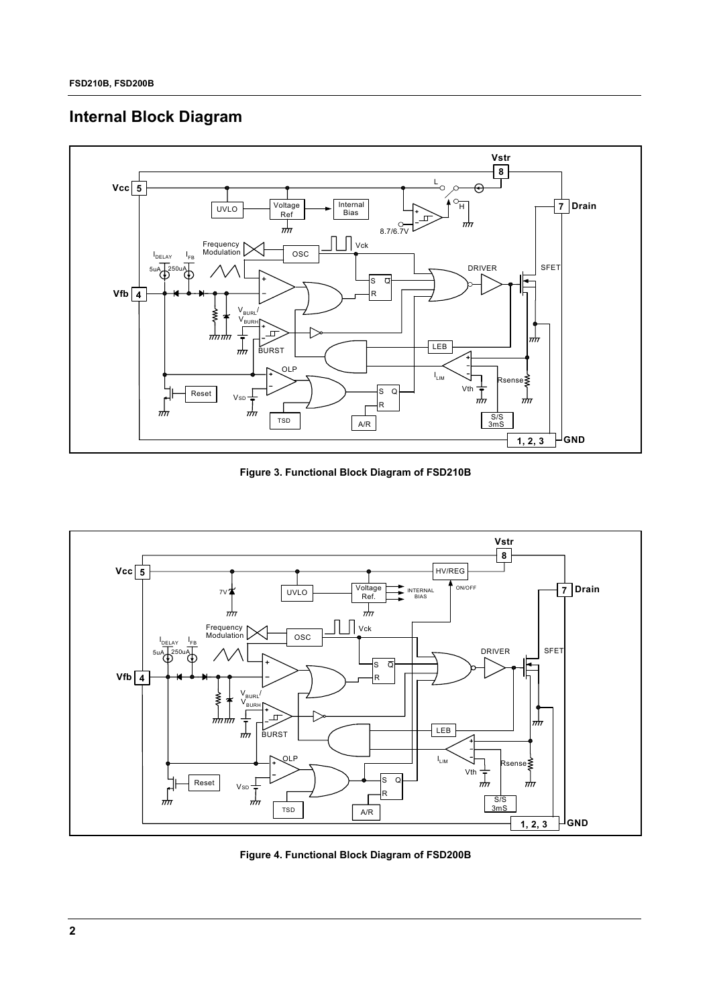## **Internal Block Diagram**



**Figure 3. Functional Block Diagram of FSD210B**



**Figure 4. Functional Block Diagram of FSD200B**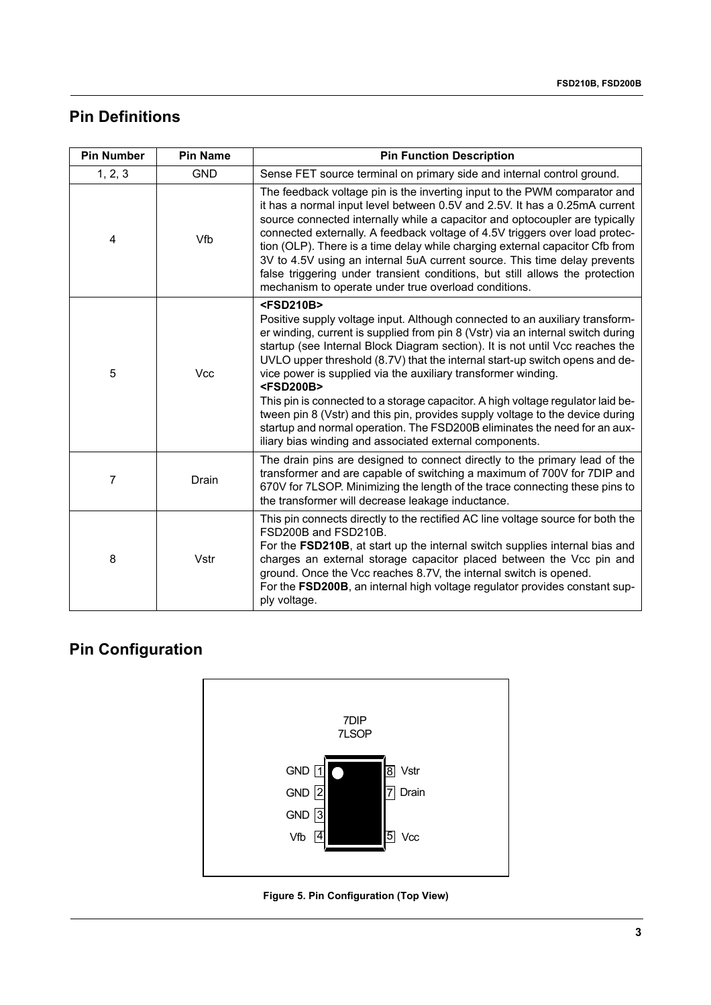# **Pin Definitions**

| <b>Pin Number</b> | <b>Pin Name</b> | <b>Pin Function Description</b>                                                                                                                                                                                                                                                                                                                                                                                                                                                                                                                                                                                                                                                                                                                                      |
|-------------------|-----------------|----------------------------------------------------------------------------------------------------------------------------------------------------------------------------------------------------------------------------------------------------------------------------------------------------------------------------------------------------------------------------------------------------------------------------------------------------------------------------------------------------------------------------------------------------------------------------------------------------------------------------------------------------------------------------------------------------------------------------------------------------------------------|
| 1, 2, 3           | <b>GND</b>      | Sense FET source terminal on primary side and internal control ground.                                                                                                                                                                                                                                                                                                                                                                                                                                                                                                                                                                                                                                                                                               |
| 4                 | Vfb             | The feedback voltage pin is the inverting input to the PWM comparator and<br>it has a normal input level between 0.5V and 2.5V. It has a 0.25mA current<br>source connected internally while a capacitor and optocoupler are typically<br>connected externally. A feedback voltage of 4.5V triggers over load protec-<br>tion (OLP). There is a time delay while charging external capacitor Cfb from<br>3V to 4.5V using an internal 5uA current source. This time delay prevents<br>false triggering under transient conditions, but still allows the protection<br>mechanism to operate under true overload conditions.                                                                                                                                           |
| 5                 | Vcc             | <fsd210b><br/>Positive supply voltage input. Although connected to an auxiliary transform-<br/>er winding, current is supplied from pin 8 (Vstr) via an internal switch during<br/>startup (see Internal Block Diagram section). It is not until Vcc reaches the<br/>UVLO upper threshold (8.7V) that the internal start-up switch opens and de-<br/>vice power is supplied via the auxiliary transformer winding.<br/><fsd200b><br/>This pin is connected to a storage capacitor. A high voltage regulator laid be-<br/>tween pin 8 (Vstr) and this pin, provides supply voltage to the device during<br/>startup and normal operation. The FSD200B eliminates the need for an aux-<br/>iliary bias winding and associated external components.</fsd200b></fsd210b> |
| 7                 | Drain           | The drain pins are designed to connect directly to the primary lead of the<br>transformer and are capable of switching a maximum of 700V for 7DIP and<br>670V for 7LSOP. Minimizing the length of the trace connecting these pins to<br>the transformer will decrease leakage inductance.                                                                                                                                                                                                                                                                                                                                                                                                                                                                            |
| 8                 | Vstr            | This pin connects directly to the rectified AC line voltage source for both the<br>FSD200B and FSD210B.<br>For the FSD210B, at start up the internal switch supplies internal bias and<br>charges an external storage capacitor placed between the Vcc pin and<br>ground. Once the Vcc reaches 8.7V, the internal switch is opened.<br>For the FSD200B, an internal high voltage regulator provides constant sup-<br>ply voltage.                                                                                                                                                                                                                                                                                                                                    |

# **Pin Configuration**



**Figure 5. Pin Configuration (Top View)**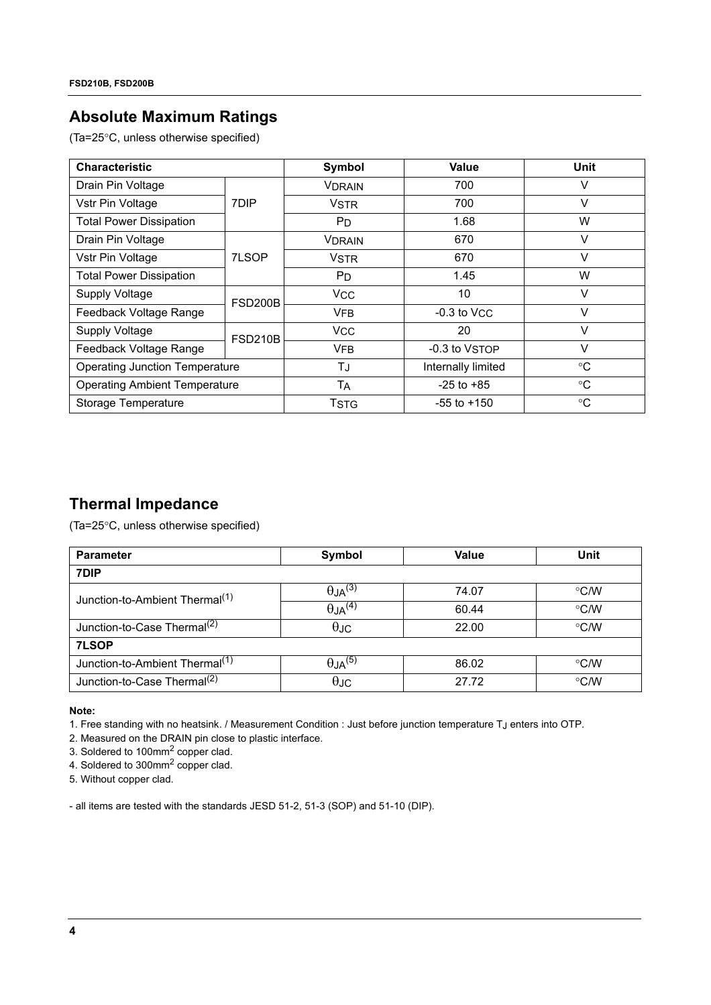### **Absolute Maximum Ratings**

(Ta=25°C, unless otherwise specified)

| <b>Characteristic</b>                 |                | Symbol                | Value              | Unit        |
|---------------------------------------|----------------|-----------------------|--------------------|-------------|
| Drain Pin Voltage                     |                | <b>VDRAIN</b>         | 700                | V           |
| Vstr Pin Voltage                      | 7DIP           | <b>VSTR</b>           | 700                | v           |
| <b>Total Power Dissipation</b>        |                | P <sub>D</sub>        | 1.68               | W           |
| Drain Pin Voltage                     |                | <b>VDRAIN</b>         | 670                | V           |
| Vstr Pin Voltage                      | 7LSOP          | <b>VSTR</b>           | 670                | $\vee$      |
| <b>Total Power Dissipation</b>        |                | P <sub>D</sub>        | 1.45               | W           |
| <b>Supply Voltage</b>                 | <b>FSD200B</b> | <b>V<sub>CC</sub></b> | 10                 | V           |
| Feedback Voltage Range                |                | <b>VFB</b>            | $-0.3$ to $VCC$    | V           |
| Supply Voltage                        | <b>FSD210B</b> | <b>V<sub>CC</sub></b> | 20                 | V           |
| Feedback Voltage Range                |                | <b>VFB</b>            | -0.3 to VSTOP      | V           |
| <b>Operating Junction Temperature</b> |                | TJ                    | Internally limited | $^{\circ}C$ |
| <b>Operating Ambient Temperature</b>  |                | Tд                    | $-25$ to $+85$     | $^{\circ}C$ |
| Storage Temperature                   |                | <b>TSTG</b>           | $-55$ to $+150$    | $^{\circ}C$ |

### **Thermal Impedance**

(Ta=25°C, unless otherwise specified)

| <b>Parameter</b>                           | Symbol                     | <b>Value</b> | Unit               |
|--------------------------------------------|----------------------------|--------------|--------------------|
| 7DIP                                       |                            |              |                    |
| Junction-to-Ambient Thermal <sup>(1)</sup> | $\theta$ JA <sup>(3)</sup> | 74.07        | $\degree$ C/W      |
|                                            | $\theta$ JA <sup>(4)</sup> | 60.44        | $\degree$ C/W      |
| Junction-to-Case Thermal <sup>(2)</sup>    | $\theta$ JC                | 22.00        | $\rm ^{\circ}$ C/W |
| 7LSOP                                      |                            |              |                    |
| Junction-to-Ambient Thermal <sup>(1)</sup> | $\theta$ JA <sup>(5)</sup> | 86.02        | $\degree$ C/W      |
| Junction-to-Case Thermal <sup>(2)</sup>    | $\theta$ JC                | 27.72        | °C/W               |

**Note:**

1. Free standing with no heatsink. / Measurement Condition : Just before junction temperature TJ enters into OTP.

2. Measured on the DRAIN pin close to plastic interface.

3. Soldered to 100mm2 copper clad.

4. Soldered to 300mm<sup>2</sup> copper clad.

5. Without copper clad.

- all items are tested with the standards JESD 51-2, 51-3 (SOP) and 51-10 (DIP).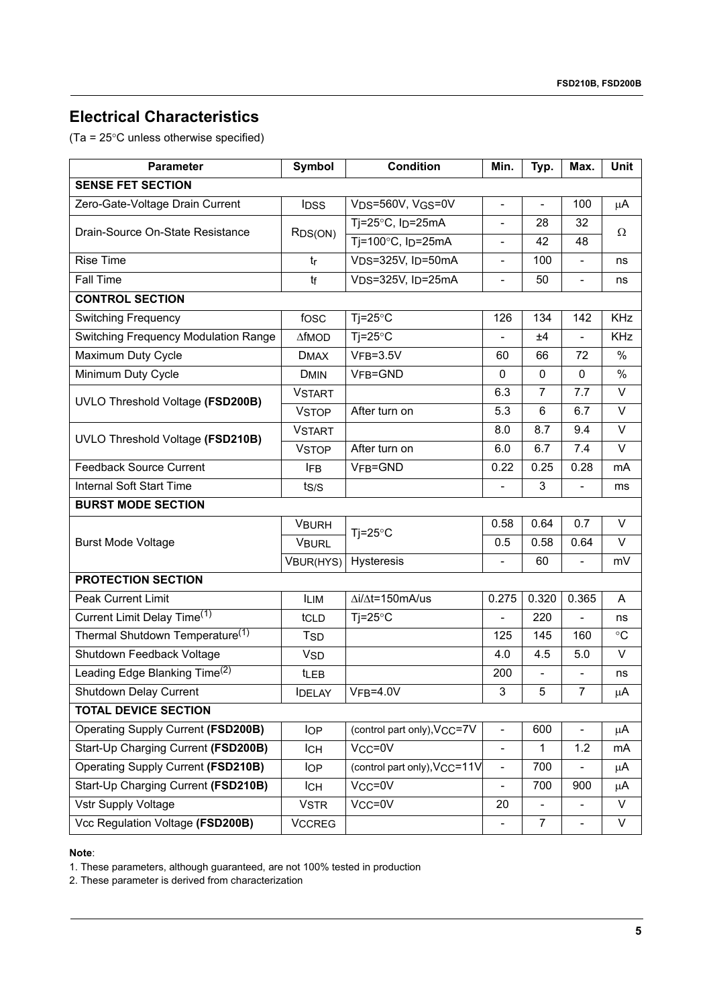### **Electrical Characteristics**

(Ta = 25°C unless otherwise specified)

| <b>Parameter</b>                            | Symbol                | <b>Condition</b>                            | Min.                         | Typ.           | Max.                     | Unit            |  |
|---------------------------------------------|-----------------------|---------------------------------------------|------------------------------|----------------|--------------------------|-----------------|--|
| <b>SENSE FET SECTION</b>                    |                       |                                             |                              |                |                          |                 |  |
| Zero-Gate-Voltage Drain Current             | <b>IDSS</b>           | VDS=560V, VGS=0V                            | $\blacksquare$               | $\blacksquare$ | 100                      | $\mu$ A         |  |
| Drain-Source On-State Resistance            |                       | Tj=25 $\degree$ C, Ip=25mA                  | $\overline{\phantom{a}}$     | 28             | 32                       | $\Omega$        |  |
|                                             | R <sub>DS</sub> (ON)  | Tj=100°C, I <sub>D</sub> =25mA              |                              | 42             | 48                       |                 |  |
| <b>Rise Time</b>                            | tr                    | V <sub>DS</sub> =325V, I <sub>D</sub> =50mA | $\overline{\phantom{a}}$     | 100            | L,                       | ns              |  |
| <b>Fall Time</b>                            | tf                    | VDS=325V, ID=25mA                           | $\overline{\phantom{a}}$     | 50             | $\overline{a}$           | ns              |  |
| <b>CONTROL SECTION</b>                      |                       |                                             |                              |                |                          |                 |  |
| <b>Switching Frequency</b>                  | fosc                  | $Tj = 25^{\circ}C$                          | 126                          | 134            | 142                      | <b>KHz</b>      |  |
| Switching Frequency Modulation Range        | <b>AfMOD</b>          | $Ti=25^{\circ}C$                            |                              | ±4             |                          | KHz             |  |
| Maximum Duty Cycle                          | <b>DMAX</b>           | $VFB = 3.5V$                                | 60                           | 66             | 72                       | $\frac{0}{0}$   |  |
| Minimum Duty Cycle                          | <b>DMIN</b>           | VFB=GND                                     | 0                            | $\mathbf 0$    | $\Omega$                 | $\%$            |  |
| UVLO Threshold Voltage (FSD200B)            | <b>VSTART</b>         |                                             | 6.3                          | $\overline{7}$ | 7.7                      | $\vee$          |  |
|                                             | <b>VSTOP</b>          | After turn on                               | 5.3                          | 6              | 6.7                      | $\vee$          |  |
| UVLO Threshold Voltage (FSD210B)            | <b>VSTART</b>         |                                             | 8.0                          | 8.7            | 9.4                      | $\vee$          |  |
|                                             | <b>VSTOP</b>          | After turn on                               | 6.0                          | 6.7            | 7.4                      | $\vee$          |  |
| <b>Feedback Source Current</b>              | <b>IFB</b>            | VFB=GND                                     | 0.22                         | 0.25           | 0.28                     | mA              |  |
| <b>Internal Soft Start Time</b>             | t <sub>S/S</sub>      |                                             | $\overline{\phantom{a}}$     | 3              | $\overline{\phantom{a}}$ | ms              |  |
| <b>BURST MODE SECTION</b>                   |                       |                                             |                              |                |                          |                 |  |
|                                             | <b>VBURH</b>          | $Tj = 25^{\circ}C$                          | 0.58                         | 0.64           | 0.7                      | $\vee$          |  |
| <b>Burst Mode Voltage</b>                   | <b>VBURL</b>          |                                             | 0.5                          | 0.58           | 0.64                     | $\vee$          |  |
|                                             | VBUR(HYS)             | Hysteresis                                  | $\overline{\phantom{a}}$     | 60             | L,                       | mV              |  |
| <b>PROTECTION SECTION</b>                   |                       |                                             |                              |                |                          |                 |  |
| <b>Peak Current Limit</b>                   | <b>ILIM</b>           | $\Delta i/\Delta t = 150$ mA/us             | 0.275                        | 0.320          | 0.365                    | A               |  |
| Current Limit Delay Time <sup>(1)</sup>     | tCLD                  | $Ti=25^{\circ}C$                            | $\overline{a}$               | 220            |                          | ns              |  |
| Thermal Shutdown Temperature <sup>(1)</sup> | <b>TSD</b>            |                                             | 125                          | 145            | 160                      | $\rm ^{\circ}C$ |  |
| Shutdown Feedback Voltage                   | <b>V<sub>SD</sub></b> |                                             | 4.0                          | 4.5            | 5.0                      | $\vee$          |  |
| Leading Edge Blanking Time <sup>(2)</sup>   | <b>t</b> LEB          |                                             | 200                          |                |                          | ns              |  |
| Shutdown Delay Current                      | <b>IDELAY</b>         | $VFB=4.0V$                                  | 3                            | 5              | $\overline{7}$           | μA              |  |
| <b>TOTAL DEVICE SECTION</b>                 |                       |                                             |                              |                |                          |                 |  |
| Operating Supply Current (FSD200B)          | <b>IOP</b>            | (control part only), VCC=7V                 | $\blacksquare$               | 600            |                          | μA              |  |
| Start-Up Charging Current (FSD200B)         | <b>ICH</b>            | Vcc=0V                                      | $\qquad \qquad \blacksquare$ | $\mathbf{1}$   | 1.2                      | mA              |  |
| Operating Supply Current (FSD210B)          | <b>IOP</b>            | (control part only), V <sub>CC</sub> =11V   | $\overline{\phantom{a}}$     | 700            |                          | μA              |  |
| Start-Up Charging Current (FSD210B)         | <b>ICH</b>            | $VCC = 0V$                                  | $\frac{1}{2}$                | 700            | 900                      | μA              |  |
| Vstr Supply Voltage                         | <b>VSTR</b>           | Vcc=0V                                      | 20                           |                |                          | V               |  |
| Vcc Regulation Voltage (FSD200B)            | <b>VCCREG</b>         |                                             |                              | $\overline{7}$ |                          | V               |  |

**Note**:

1. These parameters, although guaranteed, are not 100% tested in production

2. These parameter is derived from characterization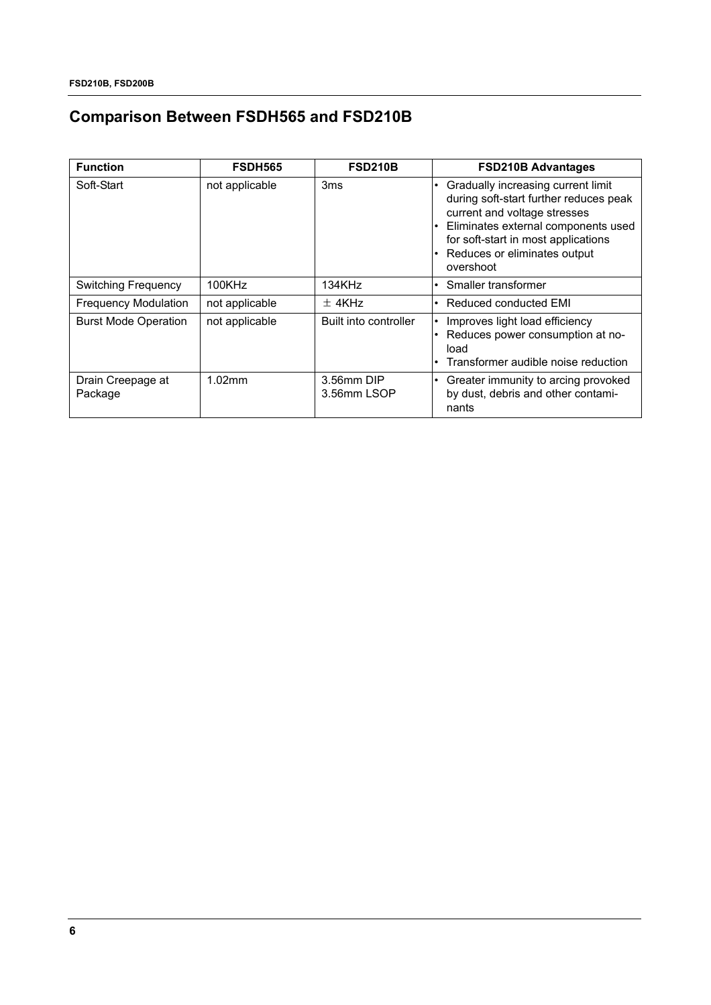# **Comparison Between FSDH565 and FSD210B**

| <b>Function</b>              | <b>FSDH565</b> | <b>FSD210B</b>            | <b>FSD210B Advantages</b>                                                                                                                                                                                                               |
|------------------------------|----------------|---------------------------|-----------------------------------------------------------------------------------------------------------------------------------------------------------------------------------------------------------------------------------------|
| Soft-Start                   | not applicable | 3 <sub>ms</sub>           | Gradually increasing current limit<br>during soft-start further reduces peak<br>current and voltage stresses<br>Eliminates external components used<br>for soft-start in most applications<br>Reduces or eliminates output<br>overshoot |
| <b>Switching Frequency</b>   | 100KHz         | 134KHz                    | Smaller transformer                                                                                                                                                                                                                     |
| <b>Frequency Modulation</b>  | not applicable | $±$ 4KHz                  | Reduced conducted EMI                                                                                                                                                                                                                   |
| <b>Burst Mode Operation</b>  | not applicable | Built into controller     | Improves light load efficiency<br>Reduces power consumption at no-<br>load<br>Transformer audible noise reduction                                                                                                                       |
| Drain Creepage at<br>Package | 1.02mm         | 3.56mm DIP<br>3.56mm LSOP | Greater immunity to arcing provoked<br>by dust, debris and other contami-<br>nants                                                                                                                                                      |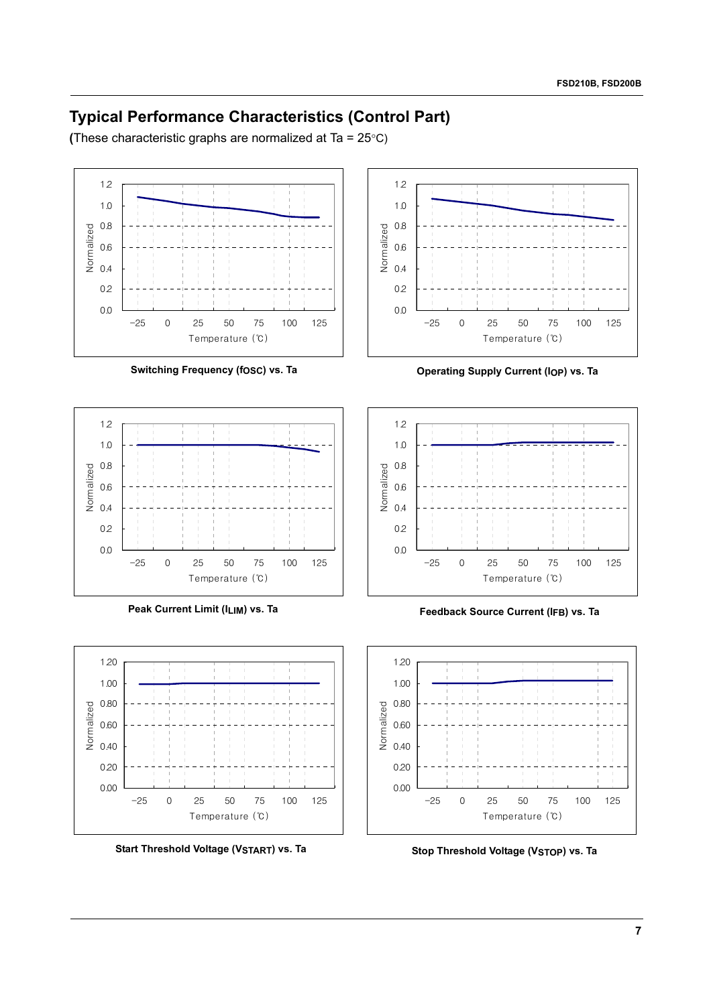### **Typical Performance Characteristics (Control Part)**

**(**These characteristic graphs are normalized at Ta = 25°C)







**Start Threshold Voltage (VSTART) vs. Ta**



Switching Frequency (fosc) vs. Ta *Operating Supply Current (IOP) vs. Ta* 



Peak Current Limit (ILIM) vs. Ta **Feedback Source Current (IFB) vs. Ta** 



**Stop Threshold Voltage (VSTOP) vs. Ta**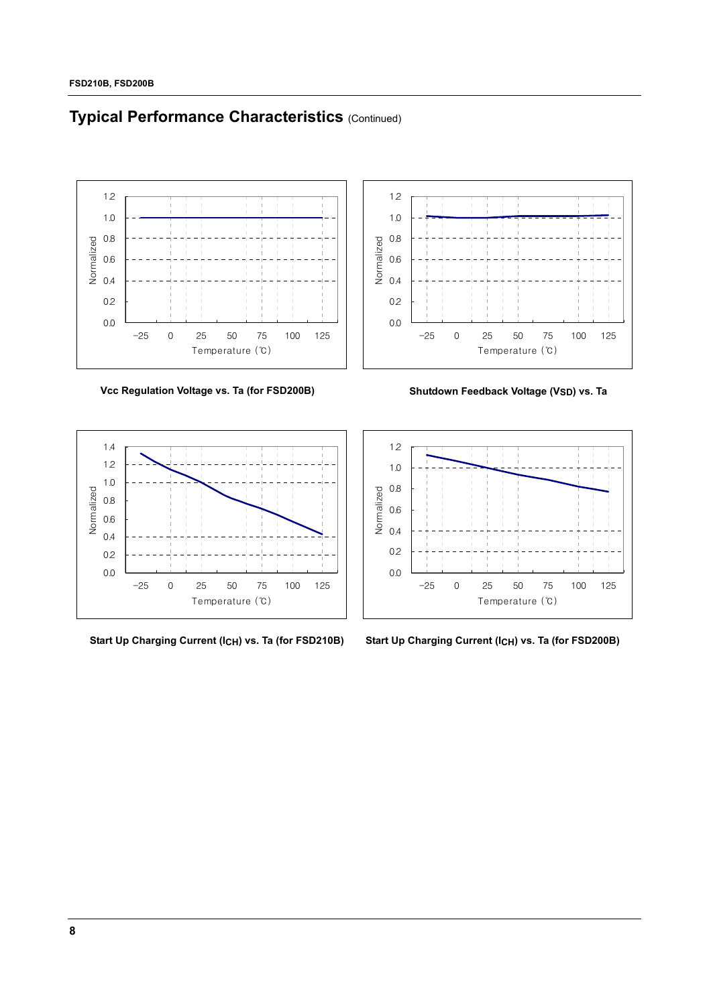# **Typical Performance Characteristics (Continued)**



Vcc Regulation Voltage vs. Ta (for FSD200B) Shutdown Feedback Voltage (VSD) vs. Ta







**Start Up Charging Current (ICH) vs. Ta (for FSD210B) Start Up Charging Current (ICH) vs. Ta (for FSD200B)**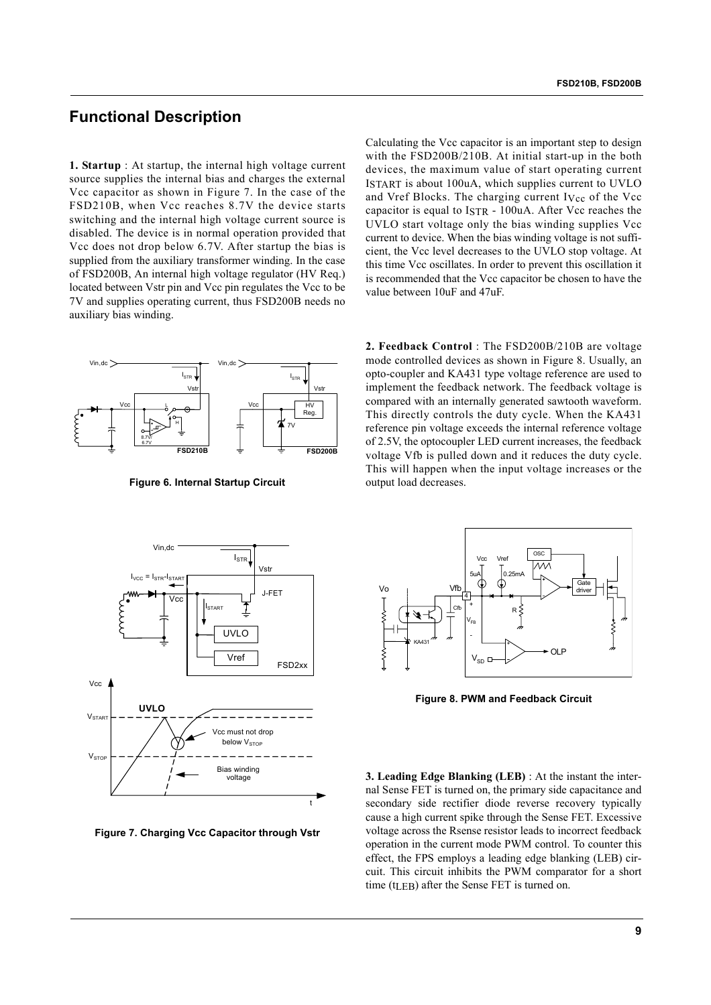### **Functional Description**

**1. Startup** : At startup, the internal high voltage current source supplies the internal bias and charges the external Vcc capacitor as shown in Figure 7. In the case of the FSD210B, when Vcc reaches 8.7V the device starts switching and the internal high voltage current source is disabled. The device is in normal operation provided that Vcc does not drop below 6.7V. After startup the bias is supplied from the auxiliary transformer winding. In the case of FSD200B, An internal high voltage regulator (HV Req.) located between Vstr pin and Vcc pin regulates the Vcc to be 7V and supplies operating current, thus FSD200B needs no auxiliary bias winding.

Calculating the Vcc capacitor is an important step to design with the FSD200B/210B. At initial start-up in the both devices, the maximum value of start operating current ISTART is about 100uA, which supplies current to UVLO and Vref Blocks. The charging current IVcc of the Vcc capacitor is equal to ISTR - 100uA. After Vcc reaches the UVLO start voltage only the bias winding supplies Vcc current to device. When the bias winding voltage is not sufficient, the Vcc level decreases to the UVLO stop voltage. At this time Vcc oscillates. In order to prevent this oscillation it is recommended that the Vcc capacitor be chosen to have the value between 10uF and 47uF.



**Figure 6. Internal Startup Circuit**

**2. Feedback Control** : The FSD200B/210B are voltage mode controlled devices as shown in Figure 8. Usually, an opto-coupler and KA431 type voltage reference are used to implement the feedback network. The feedback voltage is compared with an internally generated sawtooth waveform. This directly controls the duty cycle. When the KA431 reference pin voltage exceeds the internal reference voltage of 2.5V, the optocoupler LED current increases, the feedback voltage Vfb is pulled down and it reduces the duty cycle. This will happen when the input voltage increases or the output load decreases.



**Figure 7. Charging Vcc Capacitor through Vstr**



**Figure 8. PWM and Feedback Circuit**

**3. Leading Edge Blanking (LEB)** : At the instant the internal Sense FET is turned on, the primary side capacitance and secondary side rectifier diode reverse recovery typically cause a high current spike through the Sense FET. Excessive voltage across the Rsense resistor leads to incorrect feedback operation in the current mode PWM control. To counter this effect, the FPS employs a leading edge blanking (LEB) circuit. This circuit inhibits the PWM comparator for a short time (tLEB) after the Sense FET is turned on.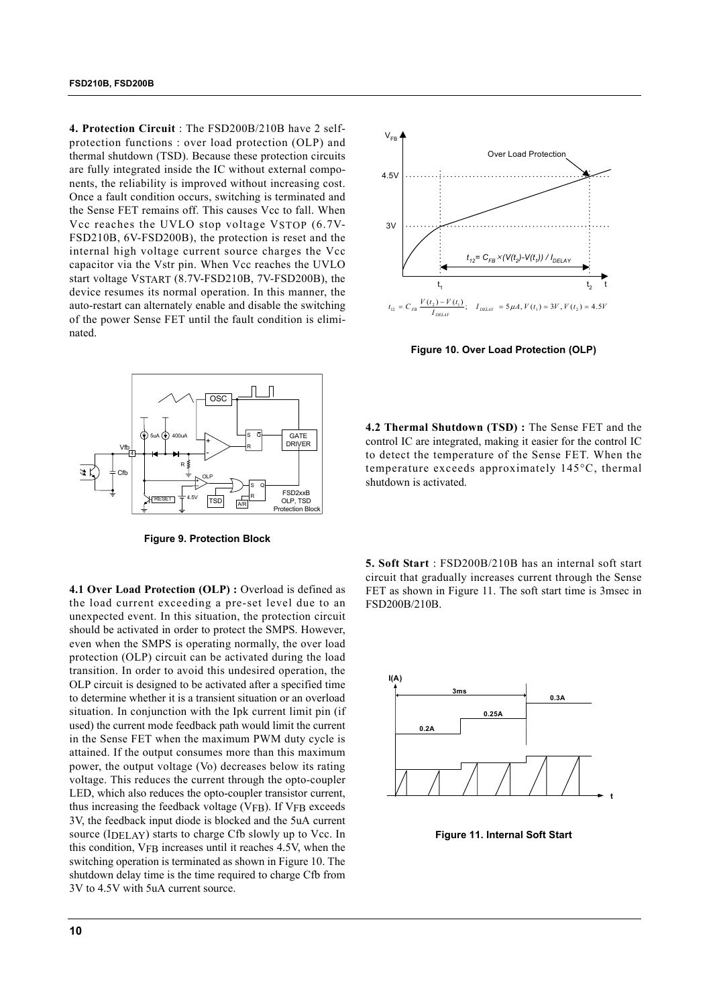**4. Protection Circuit** : The FSD200B/210B have 2 selfprotection functions : over load protection (OLP) and thermal shutdown (TSD). Because these protection circuits are fully integrated inside the IC without external components, the reliability is improved without increasing cost. Once a fault condition occurs, switching is terminated and the Sense FET remains off. This causes Vcc to fall. When Vcc reaches the UVLO stop voltage VSTOP (6.7V-FSD210B, 6V-FSD200B), the protection is reset and the internal high voltage current source charges the Vcc capacitor via the Vstr pin. When Vcc reaches the UVLO start voltage VSTART (8.7V-FSD210B, 7V-FSD200B), the device resumes its normal operation. In this manner, the auto-restart can alternately enable and disable the switching of the power Sense FET until the fault condition is eliminated.



**Figure 9. Protection Block**

**4.1 Over Load Protection (OLP) :** Overload is defined as the load current exceeding a pre-set level due to an unexpected event. In this situation, the protection circuit should be activated in order to protect the SMPS. However, even when the SMPS is operating normally, the over load protection (OLP) circuit can be activated during the load transition. In order to avoid this undesired operation, the OLP circuit is designed to be activated after a specified time to determine whether it is a transient situation or an overload situation. In conjunction with the Ipk current limit pin (if used) the current mode feedback path would limit the current in the Sense FET when the maximum PWM duty cycle is attained. If the output consumes more than this maximum power, the output voltage (Vo) decreases below its rating voltage. This reduces the current through the opto-coupler LED, which also reduces the opto-coupler transistor current, thus increasing the feedback voltage (VFB). If VFB exceeds 3V, the feedback input diode is blocked and the 5uA current source (IDELAY) starts to charge Cfb slowly up to Vcc. In this condition, VFB increases until it reaches 4.5V, when the switching operation is terminated as shown in Figure 10. The shutdown delay time is the time required to charge Cfb from 3V to 4.5V with 5uA current source.



**Figure 10. Over Load Protection (OLP)**

**4.2 Thermal Shutdown (TSD) :** The Sense FET and the control IC are integrated, making it easier for the control IC to detect the temperature of the Sense FET. When the temperature exceeds approximately 145°C, thermal shutdown is activated.

**5. Soft Start** : FSD200B/210B has an internal soft start circuit that gradually increases current through the Sense FET as shown in Figure 11. The soft start time is 3msec in FSD200B/210B.



**Figure 11. Internal Soft Start**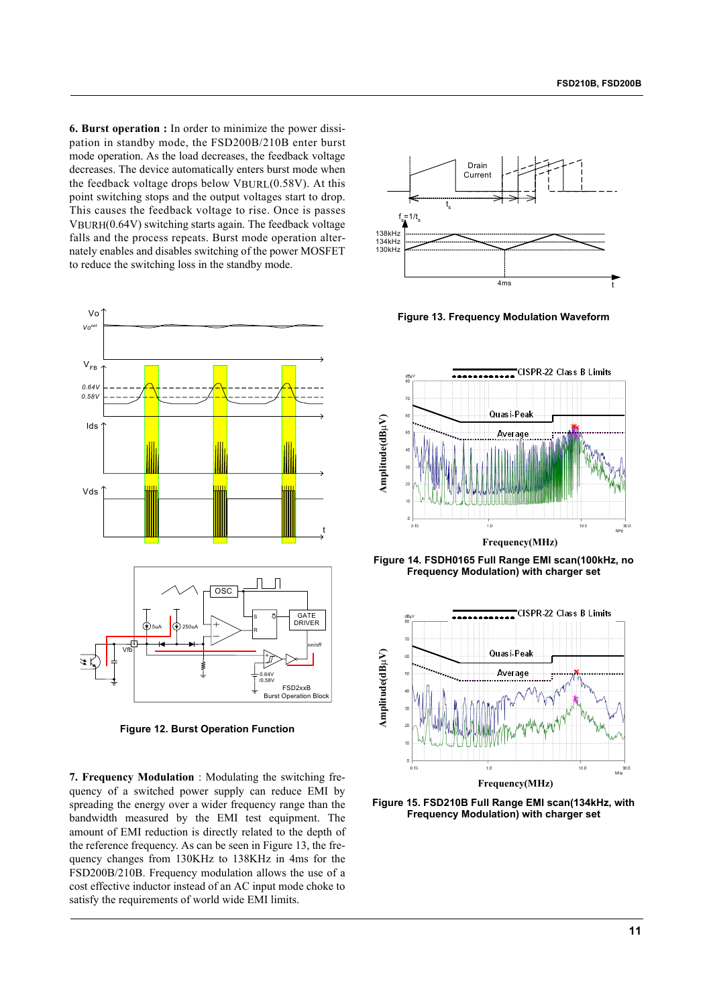**6. Burst operation :** In order to minimize the power dissipation in standby mode, the FSD200B/210B enter burst mode operation. As the load decreases, the feedback voltage decreases. The device automatically enters burst mode when the feedback voltage drops below VBURL(0.58V). At this point switching stops and the output voltages start to drop. This causes the feedback voltage to rise. Once is passes  $V$ BURH $(0.64V)$  switching starts again. The feedback voltage falls and the process repeats. Burst mode operation alternately enables and disables switching of the power MOSFET to reduce the switching loss in the standby mode.



**Figure 12. Burst Operation Function**

**7. Frequency Modulation** : Modulating the switching frequency of a switched power supply can reduce EMI by spreading the energy over a wider frequency range than the bandwidth measured by the EMI test equipment. The amount of EMI reduction is directly related to the depth of the reference frequency. As can be seen in Figure 13, the frequency changes from 130KHz to 138KHz in 4ms for the FSD200B/210B. Frequency modulation allows the use of a cost effective inductor instead of an AC input mode choke to satisfy the requirements of world wide EMI limits.



**Figure 13. Frequency Modulation Waveform**



**Figure 14. FSDH0165 Full Range EMI scan(100kHz, no Frequency Modulation) with charger set**



**Figure 15. FSD210B Full Range EMI scan(134kHz, with Frequency Modulation) with charger set**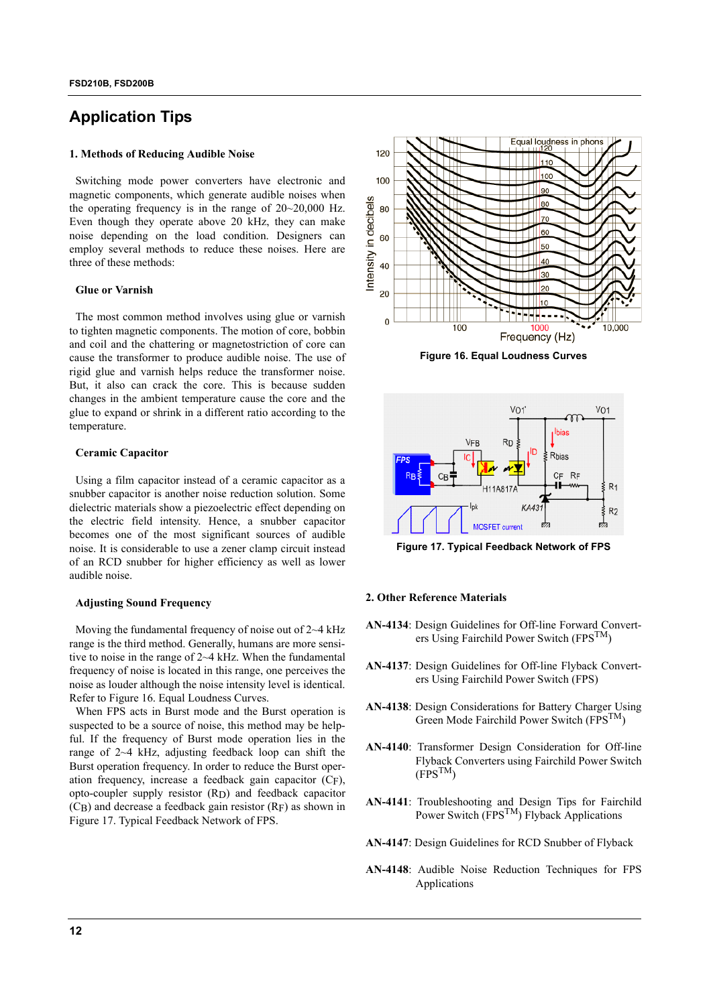### **Application Tips**

#### **1. Methods of Reducing Audible Noise**

Switching mode power converters have electronic and magnetic components, which generate audible noises when the operating frequency is in the range of 20~20,000 Hz. Even though they operate above 20 kHz, they can make noise depending on the load condition. Designers can employ several methods to reduce these noises. Here are three of these methods:

#### **Glue or Varnish**

The most common method involves using glue or varnish to tighten magnetic components. The motion of core, bobbin and coil and the chattering or magnetostriction of core can cause the transformer to produce audible noise. The use of rigid glue and varnish helps reduce the transformer noise. But, it also can crack the core. This is because sudden changes in the ambient temperature cause the core and the glue to expand or shrink in a different ratio according to the temperature.

#### **Ceramic Capacitor**

Using a film capacitor instead of a ceramic capacitor as a snubber capacitor is another noise reduction solution. Some dielectric materials show a piezoelectric effect depending on the electric field intensity. Hence, a snubber capacitor becomes one of the most significant sources of audible noise. It is considerable to use a zener clamp circuit instead of an RCD snubber for higher efficiency as well as lower audible noise.

#### **Adjusting Sound Frequency**

Moving the fundamental frequency of noise out of  $2~4$  kHz range is the third method. Generally, humans are more sensitive to noise in the range of 2~4 kHz. When the fundamental frequency of noise is located in this range, one perceives the noise as louder although the noise intensity level is identical. Refer to Figure 16. Equal Loudness Curves.

When FPS acts in Burst mode and the Burst operation is suspected to be a source of noise, this method may be helpful. If the frequency of Burst mode operation lies in the range of 2~4 kHz, adjusting feedback loop can shift the Burst operation frequency. In order to reduce the Burst operation frequency, increase a feedback gain capacitor (CF), opto-coupler supply resistor (RD) and feedback capacitor (CB) and decrease a feedback gain resistor (RF) as shown in Figure 17. Typical Feedback Network of FPS.



**Figure 16. Equal Loudness Curves**



**Figure 17. Typical Feedback Network of FPS**

#### **2. Other Reference Materials**

- **AN-4134**: Design Guidelines for Off-line Forward Converters Using Fairchild Power Switch (FPS<sup>TM</sup>)
- **AN-4137**: Design Guidelines for Off-line Flyback Converters Using Fairchild Power Switch (FPS)
- **AN-4138**: Design Considerations for Battery Charger Using Green Mode Fairchild Power Switch (FPS<sup>TM</sup>)
- **AN-4140**: Transformer Design Consideration for Off-line Flyback Converters using Fairchild Power Switch  $(FPS^{TM})$
- **AN-4141**: Troubleshooting and Design Tips for Fairchild Power Switch (FPSTM) Flyback Applications
- **AN-4147**: Design Guidelines for RCD Snubber of Flyback
- **AN-4148**: Audible Noise Reduction Techniques for FPS Applications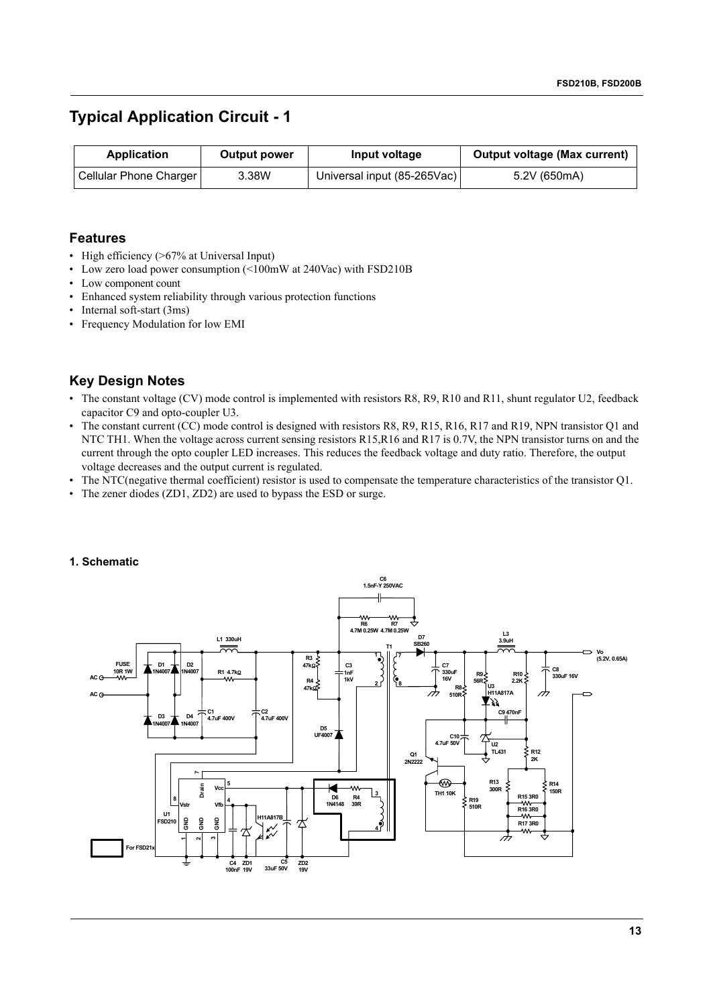### **Typical Application Circuit - 1**

| Application            | <b>Output power</b> | Input voltage               | <b>Output voltage (Max current)</b> |
|------------------------|---------------------|-----------------------------|-------------------------------------|
| Cellular Phone Charger | 3.38W               | Universal input (85-265Vac) | 5.2V (650mA)                        |

#### **Features**

- High efficiency (>67% at Universal Input)
- Low zero load power consumption (<100mW at 240Vac) with FSD210B
- Low component count
- Enhanced system reliability through various protection functions
- Internal soft-start (3ms)
- Frequency Modulation for low EMI

### **Key Design Notes**

- The constant voltage (CV) mode control is implemented with resistors R8, R9, R10 and R11, shunt regulator U2, feedback capacitor C9 and opto-coupler U3.
- The constant current (CC) mode control is designed with resistors R8, R9, R15, R16, R17 and R19, NPN transistor Q1 and NTC TH1. When the voltage across current sensing resistors R15,R16 and R17 is 0.7V, the NPN transistor turns on and the current through the opto coupler LED increases. This reduces the feedback voltage and duty ratio. Therefore, the output voltage decreases and the output current is regulated.
- The NTC(negative thermal coefficient) resistor is used to compensate the temperature characteristics of the transistor Q1.
- The zener diodes (ZD1, ZD2) are used to bypass the ESD or surge.



#### **1. Schematic**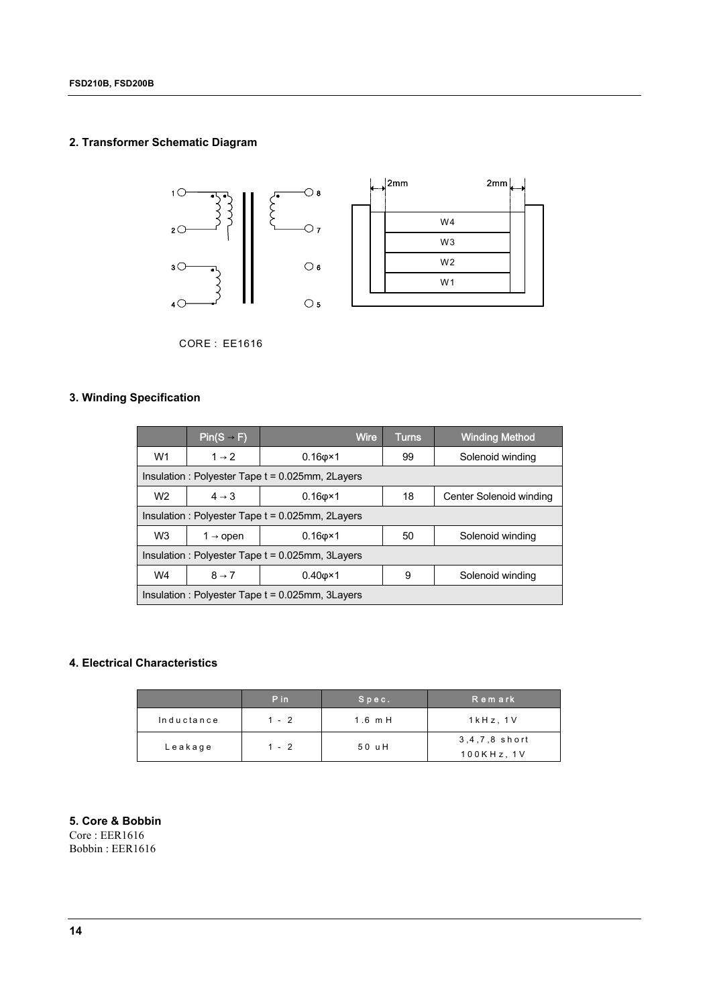#### **2. Transformer Schematic Diagram**



CORE : EE1616

#### **3. Winding Specification**

|                                                                                        | $Pin(S - F)$                                        | Wire                                                | Turns. | <b>Winding Method</b> |  |  |  |  |
|----------------------------------------------------------------------------------------|-----------------------------------------------------|-----------------------------------------------------|--------|-----------------------|--|--|--|--|
| W <sub>1</sub>                                                                         | $1 \rightarrow 2$                                   | $0.16$ $\sigma$ ×1                                  | 99     | Solenoid winding      |  |  |  |  |
| Insulation : Polyester Tape $t = 0.025$ mm, 2Layers                                    |                                                     |                                                     |        |                       |  |  |  |  |
| W <sub>2</sub>                                                                         | $4 \rightarrow 3$                                   | $0.16$ $\sigma$ ×1<br>18<br>Center Solenoid winding |        |                       |  |  |  |  |
| Insulation : Polyester Tape $t = 0.025$ mm, 2Layers                                    |                                                     |                                                     |        |                       |  |  |  |  |
| W <sub>3</sub><br>$0.16$ $\sigma$ ×1<br>Solenoid winding<br>50<br>1 $\rightarrow$ open |                                                     |                                                     |        |                       |  |  |  |  |
| Insulation : Polyester Tape $t = 0.025$ mm, 3Layers                                    |                                                     |                                                     |        |                       |  |  |  |  |
| $8 \rightarrow 7$<br>W4<br>$0.40 \times 1$<br>Solenoid winding<br>9                    |                                                     |                                                     |        |                       |  |  |  |  |
|                                                                                        | Insulation : Polyester Tape $t = 0.025$ mm, 3Layers |                                                     |        |                       |  |  |  |  |

#### **4. Electrical Characteristics**

|            | P in    | $S$ $p$ $e$ $c$ . | Remark                         |
|------------|---------|-------------------|--------------------------------|
| Inductance | $1 - 2$ | $1.6$ m H         | $1$ k $Hz$ , $1V$              |
| Leakage    | $1 - 2$ | 50 uH             | 3,4,7,8 short<br>$100KHz$ , 1V |

### **5. Core & Bobbin**

Core : EER1616 Bobbin : EER1616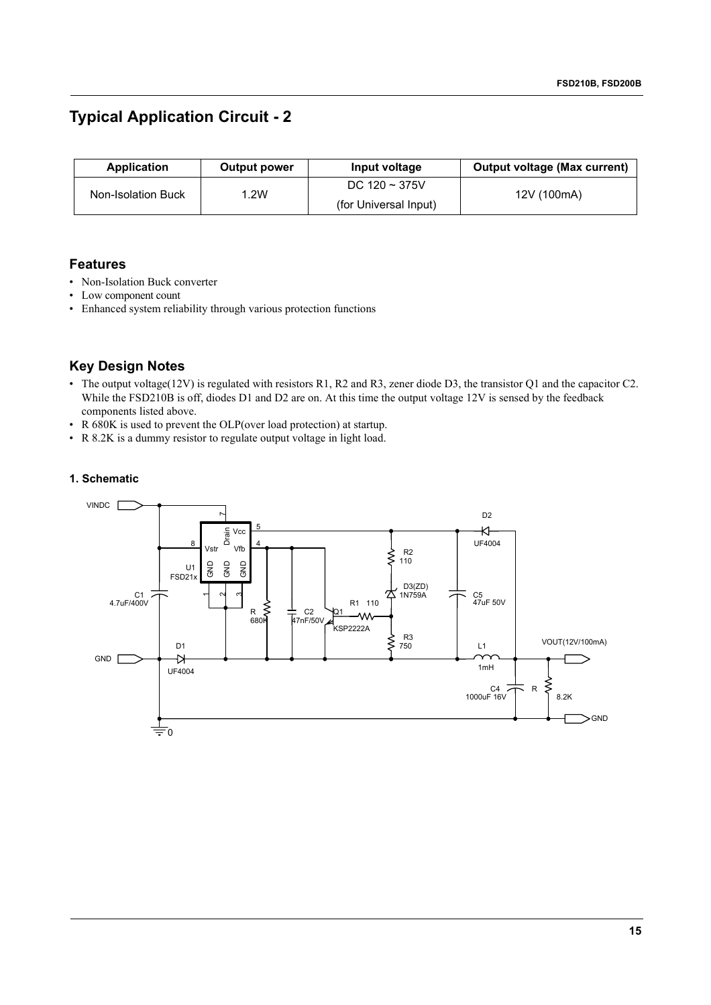### **Typical Application Circuit - 2**

| Application        | <b>Output power</b> | Input voltage         | <b>Output voltage (Max current)</b> |
|--------------------|---------------------|-----------------------|-------------------------------------|
|                    | .2W                 | DC $120 \sim 375V$    |                                     |
| Non-Isolation Buck |                     | (for Universal Input) | 12V (100mA)                         |

#### **Features**

- Non-Isolation Buck converter
- Low component count
- Enhanced system reliability through various protection functions

### **Key Design Notes**

- The output voltage(12V) is regulated with resistors R1, R2 and R3, zener diode D3, the transistor Q1 and the capacitor C2. While the FSD210B is off, diodes D1 and D2 are on. At this time the output voltage 12V is sensed by the feedback components listed above.
- R 680K is used to prevent the OLP(over load protection) at startup.
- R 8.2K is a dummy resistor to regulate output voltage in light load.

#### **1. Schematic**

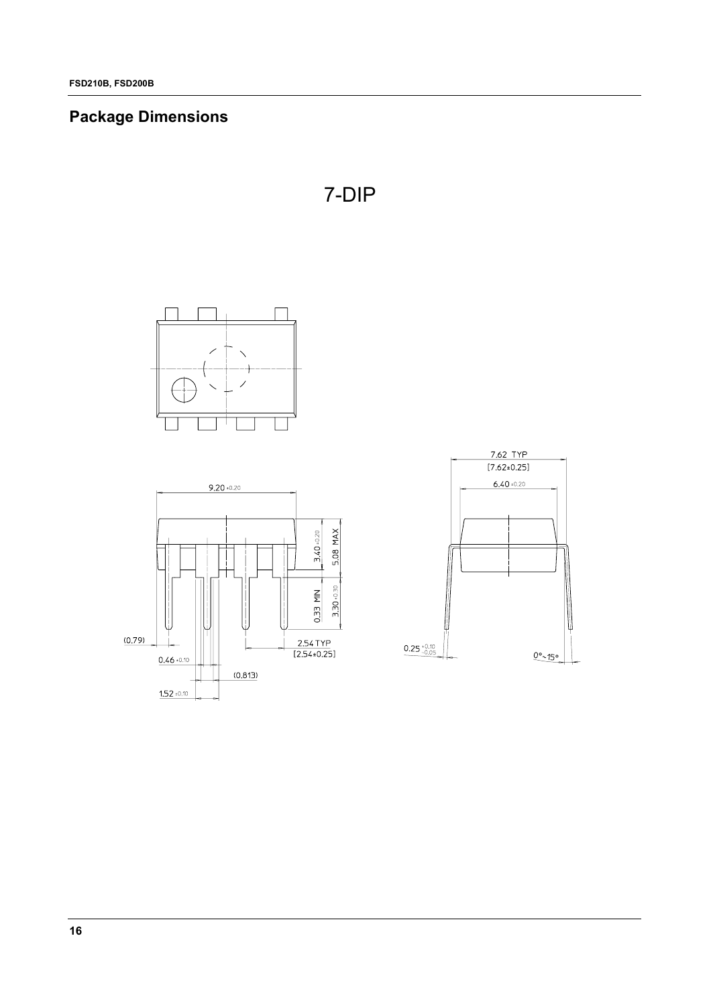# **Package Dimensions**







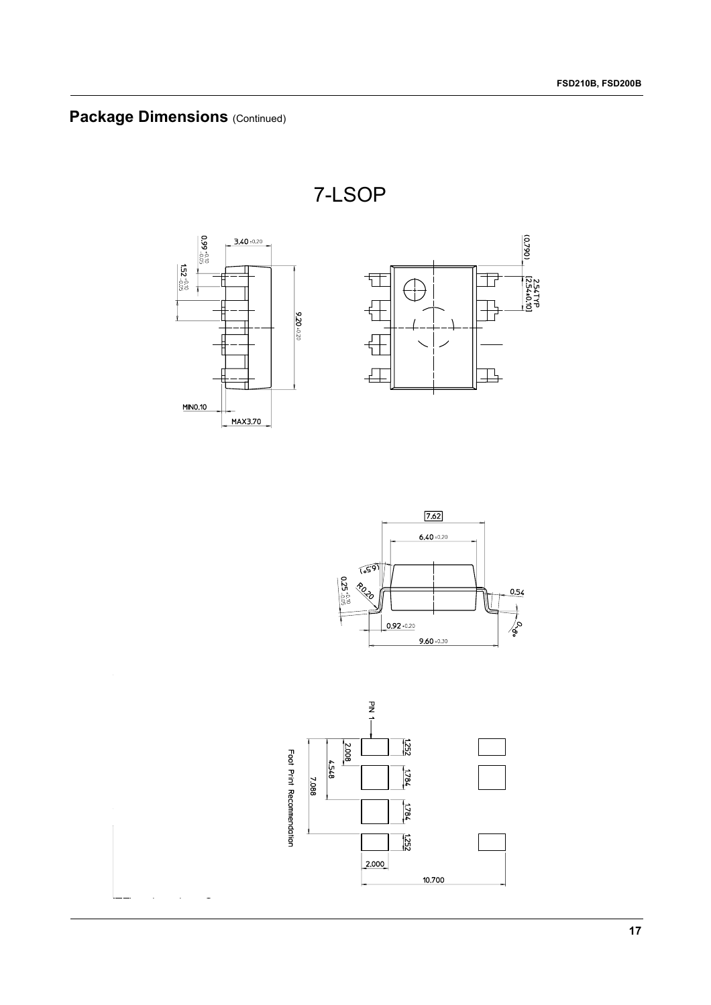# **Package Dimensions (Continued)**

7-LSOP